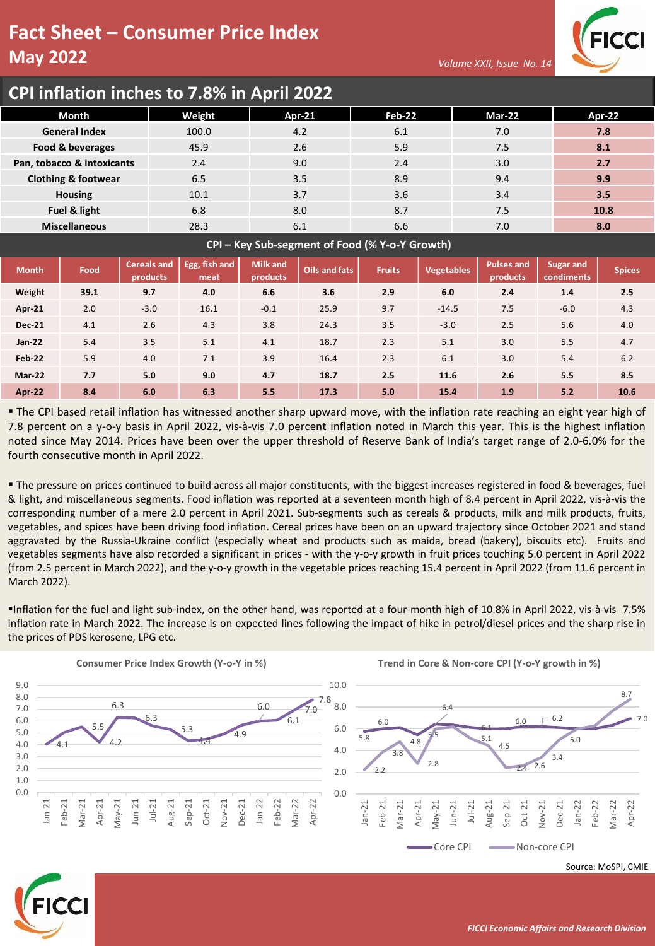## **Fact Sheet – Consumer Price Index May 2022**





## **CPI inflation inches to 7.8% in April 2022**

| Month                          | Weight | <b>Apr-21</b> | Feb-22 | <b>Mar-22</b> | <b>Apr-22</b> |
|--------------------------------|--------|---------------|--------|---------------|---------------|
| <b>General Index</b>           | 100.0  | 4.2           | 6.1    | 7.0           | 7.8           |
| Food & beverages               | 45.9   |               | 5.9    | 7.5           | 8.1           |
| Pan, tobacco & intoxicants     | 2.4    | 9.0           | 2.4    | 3.0           | 2.7           |
| <b>Clothing &amp; footwear</b> | 6.5    | 3.5           | 8.9    | 9.4           | 9.9           |
| <b>Housing</b>                 | 10.1   | 3.7           | 3.6    | 3.4           | 3.5           |
| Fuel & light                   | 6.8    | 8.0           | 8.7    | 7.5           | 10.8          |
| <b>Miscellaneous</b>           | 28.3   | 6.1           | 6.6    | 7.0           | 8.0           |
|                                |        |               |        |               |               |

**CPI – Key Sub-segment of Food (% Y-o-Y Growth)**

| <b>Month</b>  | Food | <b>Cereals and</b><br>products | Egg, fish and<br>meat | <b>Milk and</b><br>products | Oils and fats | <b>Fruits</b> | <b>Vegetables</b> | <b>Pulses and</b><br>products | <b>Sugar and</b><br>condiments | <b>Spices</b> |
|---------------|------|--------------------------------|-----------------------|-----------------------------|---------------|---------------|-------------------|-------------------------------|--------------------------------|---------------|
| Weight        | 39.1 | 9.7                            | 4.0                   | 6.6                         | 3.6           | 2.9           | 6.0               | 2.4                           | 1.4                            | 2.5           |
| Apr-21        | 2.0  | $-3.0$                         | 16.1                  | $-0.1$                      | 25.9          | 9.7           | $-14.5$           | 7.5                           | $-6.0$                         | 4.3           |
| <b>Dec-21</b> | 4.1  | 2.6                            | 4.3                   | 3.8                         | 24.3          | 3.5           | $-3.0$            | 2.5                           | 5.6                            | 4.0           |
| Jan-22        | 5.4  | 3.5                            | 5.1                   | 4.1                         | 18.7          | 2.3           | 5.1               | 3.0                           | 5.5                            | 4.7           |
| <b>Feb-22</b> | 5.9  | 4.0                            | 7.1                   | 3.9                         | 16.4          | 2.3           | 6.1               | 3.0                           | 5.4                            | 6.2           |
| <b>Mar-22</b> | 7.7  | 5.0                            | 9.0                   | 4.7                         | 18.7          | 2.5           | 11.6              | 2.6                           | 5.5                            | 8.5           |
| Apr 22        | 8.4  | 6.0                            | 6.3                   | 5.5                         | 17.3          | 5.0           | 15.4              | 1.9                           | 5.2                            | 10.6          |

▪ The CPI based retail inflation has witnessed another sharp upward move, with the inflation rate reaching an eight year high of 7.8 percent on a y-o-y basis in April 2022, vis-à-vis 7.0 percent inflation noted in March this year. This is the highest inflation noted since May 2014. Prices have been over the upper threshold of Reserve Bank of India's target range of 2.0-6.0% for the fourth consecutive month in April 2022.

" The pressure on prices continued to build across all major constituents, with the biggest increases registered in food & beverages, fuel & light, and miscellaneous segments. Food inflation was reported at a seventeen month high of 8.4 percent in April 2022, vis-à-vis the corresponding number of a mere 2.0 percent in April 2021. Sub-segments such as cereals & products, milk and milk products, fruits, vegetables, and spices have been driving food inflation. Cereal prices have been on an upward trajectory since October 2021 and stand aggravated by the Russia-Ukraine conflict (especially wheat and products such as maida, bread (bakery), biscuits etc). Fruits and vegetables segments have also recorded a significant in prices - with the y-o-y growth in fruit prices touching 5.0 percent in April 2022 (from 2.5 percent in March 2022), and the y-o-y growth in the vegetable prices reaching 15.4 percent in April 2022 (from 11.6 percent in March 2022).

▪Inflation for the fuel and light sub-index, on the other hand, was reported at a four-month high of 10.8% in April 2022, vis-à-vis 7.5% inflation rate in March 2022. The increase is on expected lines following the impact of hike in petrol/diesel prices and the sharp rise in the prices of PDS kerosene, LPG etc.